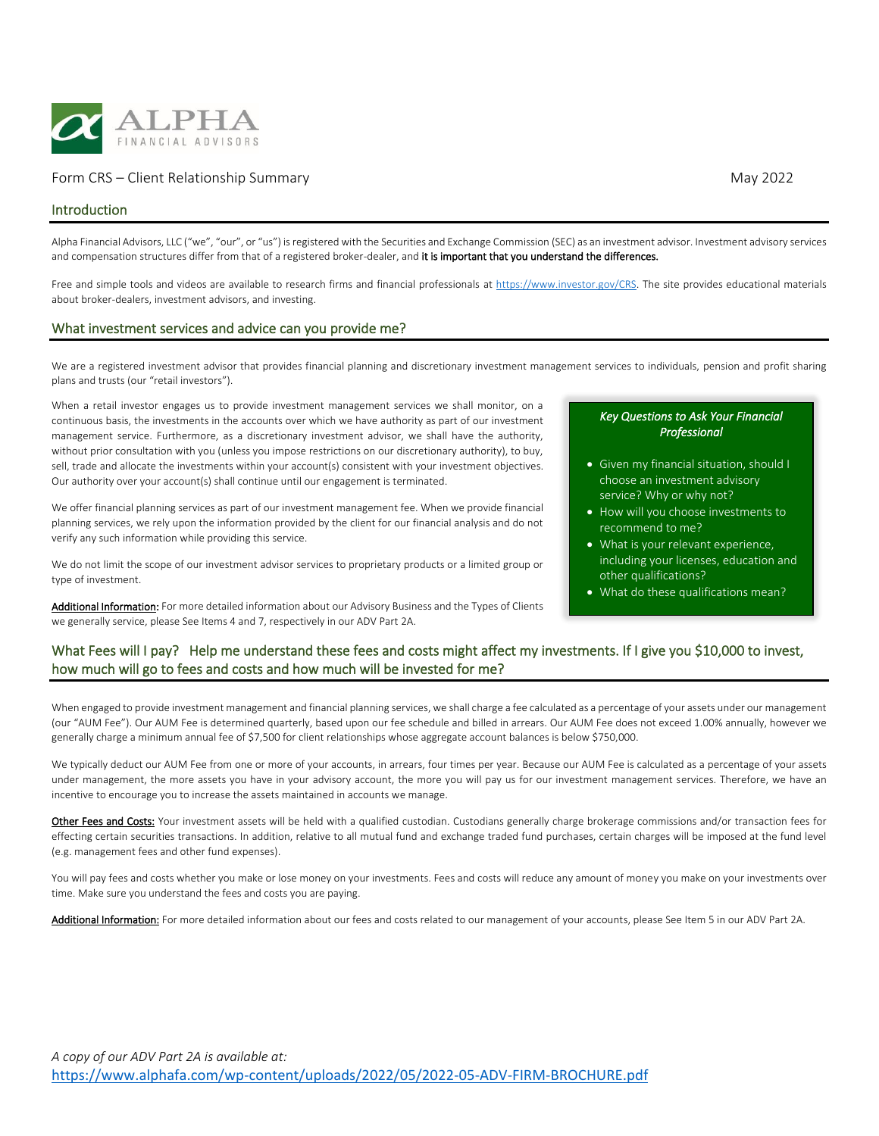

## Form CRS – Client Relationship Summary May 2022

## Introduction

Alpha Financial Advisors, LLC ("we", "our", or "us") is registered with the Securities and Exchange Commission (SEC) as an investment advisor. Investment advisory services and compensation structures differ from that of a registered broker-dealer, and it is important that you understand the differences.

Free and simple tools and videos are available to research firms and financial professionals a[t https://www.investor.gov/CRS.](https://www.investor.gov/CRS) The site provides educational materials about broker-dealers, investment advisors, and investing.

## What investment services and advice can you provide me?

We are a registered investment advisor that provides financial planning and discretionary investment management services to individuals, pension and profit sharing plans and trusts (our "retail investors").

When a retail investor engages us to provide investment management services we shall monitor, on a continuous basis, the investments in the accounts over which we have authority as part of our investment management service. Furthermore, as a discretionary investment advisor, we shall have the authority, without prior consultation with you (unless you impose restrictions on our discretionary authority), to buy, sell, trade and allocate the investments within your account(s) consistent with your investment objectives. Our authority over your account(s) shall continue until our engagement is terminated.

We offer financial planning services as part of our investment management fee. When we provide financial planning services, we rely upon the information provided by the client for our financial analysis and do not verify any such information while providing this service.

We do not limit the scope of our investment advisor services to proprietary products or a limited group or type of investment.

Additional Information: For more detailed information about our Advisory Business and the Types of Clients we generally service, please See Items 4 and 7, respectively in our ADV Part 2A.

#### *Key Questions to Ask Your Financial Professional*

- Given my financial situation, should I choose an investment advisory service? Why or why not?
- How will you choose investments to recommend to me?
- What is your relevant experience, including your licenses, education and other qualifications?
- What do these qualifications mean?

# What Fees will I pay? Help me understand these fees and costs might affect my investments. If I give you \$10,000 to invest, how much will go to fees and costs and how much will be invested for me?

When engaged to provide investment management and financial planning services, we shall charge a fee calculated as a percentage of your assets under our management (our "AUM Fee"). Our AUM Fee is determined quarterly, based upon our fee schedule and billed in arrears. Our AUM Fee does not exceed 1.00% annually, however we generally charge a minimum annual fee of \$7,500 for client relationships whose aggregate account balances is below \$750,000.

We typically deduct our AUM Fee from one or more of your accounts, in arrears, four times per year. Because our AUM Fee is calculated as a percentage of your assets under management, the more assets you have in your advisory account, the more you will pay us for our investment management services. Therefore, we have an incentive to encourage you to increase the assets maintained in accounts we manage.

Other Fees and Costs: Your investment assets will be held with a qualified custodian. Custodians generally charge brokerage commissions and/or transaction fees for effecting certain securities transactions. In addition, relative to all mutual fund and exchange traded fund purchases, certain charges will be imposed at the fund level (e.g. management fees and other fund expenses).

You will pay fees and costs whether you make or lose money on your investments. Fees and costs will reduce any amount of money you make on your investments over time. Make sure you understand the fees and costs you are paying.

Additional Information: For more detailed information about our fees and costs related to our management of your accounts, please See Item 5 in our ADV Part 2A.